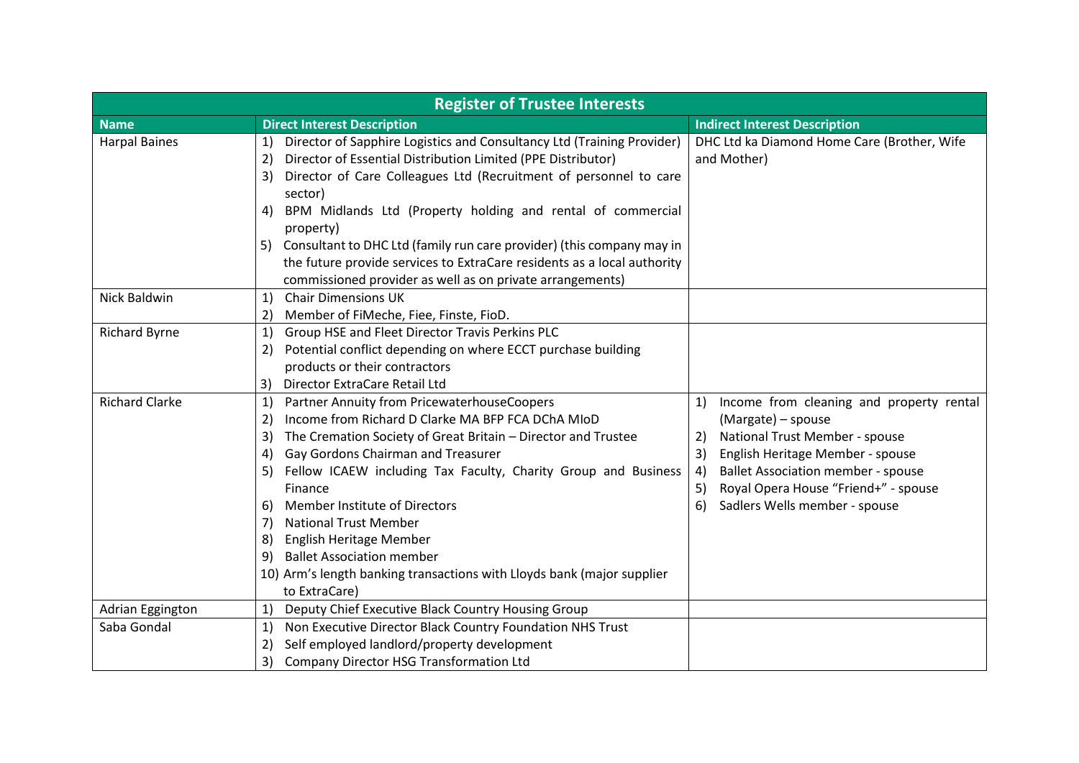| <b>Register of Trustee Interests</b> |                                                                                                                                                                                                                                                                                                                                                                                                                                                                                                                                                                              |                                                                                                                                                                                                                                                                                                |  |  |
|--------------------------------------|------------------------------------------------------------------------------------------------------------------------------------------------------------------------------------------------------------------------------------------------------------------------------------------------------------------------------------------------------------------------------------------------------------------------------------------------------------------------------------------------------------------------------------------------------------------------------|------------------------------------------------------------------------------------------------------------------------------------------------------------------------------------------------------------------------------------------------------------------------------------------------|--|--|
| <b>Name</b>                          | <b>Direct Interest Description</b>                                                                                                                                                                                                                                                                                                                                                                                                                                                                                                                                           | <b>Indirect Interest Description</b>                                                                                                                                                                                                                                                           |  |  |
| <b>Harpal Baines</b>                 | Director of Sapphire Logistics and Consultancy Ltd (Training Provider)<br>1)<br>Director of Essential Distribution Limited (PPE Distributor)<br>2)<br>Director of Care Colleagues Ltd (Recruitment of personnel to care<br>3)<br>sector)<br>BPM Midlands Ltd (Property holding and rental of commercial<br>4)<br>property)<br>5) Consultant to DHC Ltd (family run care provider) (this company may in                                                                                                                                                                       | DHC Ltd ka Diamond Home Care (Brother, Wife<br>and Mother)                                                                                                                                                                                                                                     |  |  |
|                                      | the future provide services to ExtraCare residents as a local authority<br>commissioned provider as well as on private arrangements)                                                                                                                                                                                                                                                                                                                                                                                                                                         |                                                                                                                                                                                                                                                                                                |  |  |
| Nick Baldwin                         | <b>Chair Dimensions UK</b><br>1)<br>Member of FiMeche, Fiee, Finste, FioD.<br>$\mathbf{2}$                                                                                                                                                                                                                                                                                                                                                                                                                                                                                   |                                                                                                                                                                                                                                                                                                |  |  |
| <b>Richard Byrne</b>                 | Group HSE and Fleet Director Travis Perkins PLC<br>1)<br>Potential conflict depending on where ECCT purchase building<br>2)<br>products or their contractors<br>Director ExtraCare Retail Ltd<br>3)                                                                                                                                                                                                                                                                                                                                                                          |                                                                                                                                                                                                                                                                                                |  |  |
| <b>Richard Clarke</b>                | Partner Annuity from PricewaterhouseCoopers<br>1)<br>Income from Richard D Clarke MA BFP FCA DChA MIoD<br>2)<br>The Cremation Society of Great Britain - Director and Trustee<br>3)<br>Gay Gordons Chairman and Treasurer<br>4)<br>Fellow ICAEW including Tax Faculty, Charity Group and Business<br>5)<br>Finance<br>Member Institute of Directors<br>6)<br><b>National Trust Member</b><br>7)<br><b>English Heritage Member</b><br>8)<br><b>Ballet Association member</b><br>9)<br>10) Arm's length banking transactions with Lloyds bank (major supplier<br>to ExtraCare) | Income from cleaning and property rental<br>1)<br>(Margate) – spouse<br>National Trust Member - spouse<br>2)<br>English Heritage Member - spouse<br>3)<br><b>Ballet Association member - spouse</b><br>4)<br>Royal Opera House "Friend+" - spouse<br>5)<br>Sadlers Wells member - spouse<br>6) |  |  |
| Adrian Eggington                     | Deputy Chief Executive Black Country Housing Group<br>1)                                                                                                                                                                                                                                                                                                                                                                                                                                                                                                                     |                                                                                                                                                                                                                                                                                                |  |  |
| Saba Gondal                          | Non Executive Director Black Country Foundation NHS Trust<br>1)<br>Self employed landlord/property development<br>2)<br>3)<br>Company Director HSG Transformation Ltd                                                                                                                                                                                                                                                                                                                                                                                                        |                                                                                                                                                                                                                                                                                                |  |  |